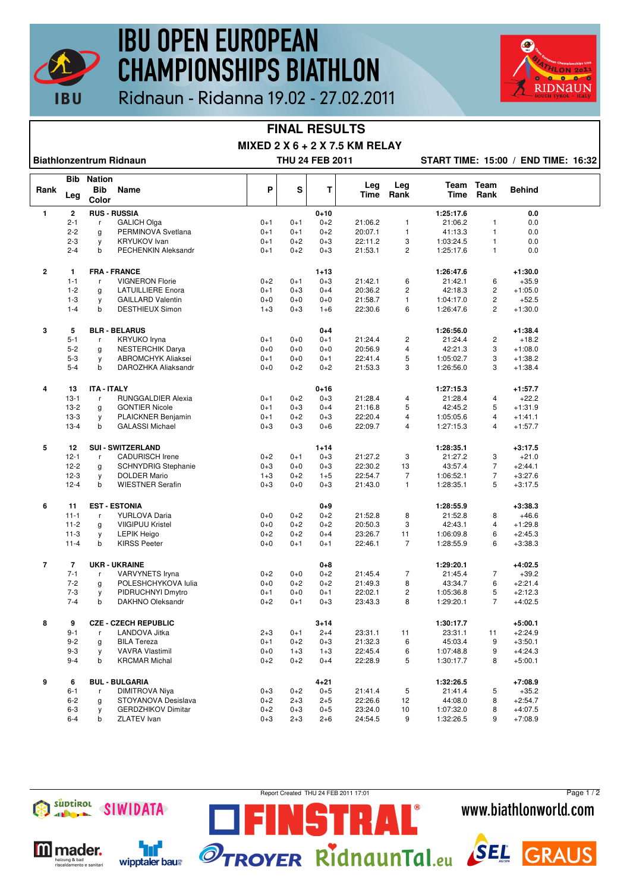

## **IBU OPEN EUROPEAN CHAMPIONSHIPS BIATHLON**



### Ridnaun - Ridanna 19.02 - 27.02.2011

#### **FINAL RESULTS**

**MIXED 2 X 6 + 2 X 7.5 KM RELAY**

**Biathlonzentrum Ridnaun THU 24 FEB 2011 START TIME: 15:00 / END TIME: 16:32**

|                | Bib            | <b>Nation</b>               |                            |         |         |                     |             |                |                      |                   |                        |  |
|----------------|----------------|-----------------------------|----------------------------|---------|---------|---------------------|-------------|----------------|----------------------|-------------------|------------------------|--|
| Rank           | Leg            | <b>Bib</b><br>Color         | Name                       | P       | S       | T                   | Leg<br>Time | Leg<br>Rank    | Time                 | Team Team<br>Rank | <b>Behind</b>          |  |
| $\mathbf{1}$   | $\mathbf 2$    | <b>RUS - RUSSIA</b>         |                            |         |         | $0 + 10$            |             |                | 1:25:17.6            |                   | 0.0                    |  |
|                | $2 - 1$        | r                           | <b>GALICH Olga</b>         | $0 + 1$ | $0 + 1$ | $0 + 2$             | 21:06.2     | 1              | 21:06.2              | $\mathbf{1}$      | 0.0                    |  |
|                | $2 - 2$        | g                           | PERMINOVA Svetlana         | $0 + 1$ | $0 + 1$ | $0 + 2$             | 20:07.1     | 1              | 41:13.3              | $\mathbf{1}$      | 0.0                    |  |
|                | $2 - 3$        | y                           | <b>KRYUKOV</b> Ivan        | $0 + 1$ | $0 + 2$ | $0 + 3$             | 22:11.2     | 3              | 1:03:24.5            | $\mathbf{1}$      | 0.0                    |  |
|                | $2 - 4$        | b                           | <b>PECHENKIN Aleksandr</b> | $0 + 1$ | $0 + 2$ | $0 + 3$             | 21:53.1     | $\overline{c}$ | 1:25:17.6            | $\mathbf{1}$      | 0.0                    |  |
|                |                |                             |                            |         |         |                     |             |                |                      |                   |                        |  |
| $\overline{2}$ | 1              |                             | <b>FRA - FRANCE</b>        |         |         | $1 + 13$            |             |                | 1:26:47.6            |                   | $+1:30.0$              |  |
|                | $1 - 1$        | r                           | <b>VIGNERON Florie</b>     | $0 + 2$ | $0 + 1$ | $0 + 3$             | 21:42.1     | 6              | 21:42.1              | 6                 | $+35.9$                |  |
|                | $1 - 2$        | g                           | <b>LATUILLIERE Enora</b>   | $0 + 1$ | $0 + 3$ | $0 + 4$             | 20:36.2     | 2              | 42:18.3              | 2                 | $+1:05.0$              |  |
|                | $1 - 3$        | y                           | <b>GAILLARD Valentin</b>   | $0 + 0$ | $0 + 0$ | $0 + 0$             | 21:58.7     | 1              | 1:04:17.0            | $\overline{c}$    | $+52.5$                |  |
|                | $1 - 4$        | b                           | <b>DESTHIEUX Simon</b>     | $1 + 3$ | $0 + 3$ | $1 + 6$             | 22:30.6     | 6              | 1:26:47.6            | $\overline{2}$    | $+1:30.0$              |  |
|                |                |                             |                            |         |         |                     |             |                |                      |                   |                        |  |
| $\mathbf 3$    | 5              |                             | <b>BLR - BELARUS</b>       |         |         | $0 + 4$             |             |                | 1:26:56.0            |                   | $+1:38.4$              |  |
|                | $5 - 1$        | r                           | <b>KRYUKO Iryna</b>        | $0 + 1$ | $0 + 0$ | $0 + 1$             | 21:24.4     | $\overline{c}$ | 21:24.4              | $\overline{c}$    | $+18.2$                |  |
|                | $5 - 2$        | g                           | <b>NESTERCHIK Darya</b>    | $0 + 0$ | $0 + 0$ | $0 + 0$             | 20:56.9     | 4              | 42:21.3              | 3                 | $+1:08.0$              |  |
|                | $5 - 3$        | y                           | <b>ABROMCHYK Aliaksei</b>  | $0 + 1$ | $0 + 0$ | $0 + 1$             | 22:41.4     | 5              | 1:05:02.7            | 3                 | $+1:38.2$              |  |
|                | $5 - 4$        | b                           | DAROZHKA Aliaksandr        | $0 + 0$ | $0 + 2$ | $0 + 2$             | 21:53.3     | 3              | 1:26:56.0            | 3                 | $+1:38.4$              |  |
| 4              | 13             | <b>ITA - ITALY</b>          |                            |         |         | $0 + 16$            |             |                | 1:27:15.3            |                   | $+1:57.7$              |  |
|                | $13 - 1$       | r                           | <b>RUNGGALDIER Alexia</b>  | $0 + 1$ | $0 + 2$ | $0 + 3$             | 21:28.4     | 4              | 21:28.4              | 4                 | $+22.2$                |  |
|                | $13 - 2$       |                             | <b>GONTIER Nicole</b>      | $0 + 1$ | $0 + 3$ | $0 + 4$             | 21:16.8     | 5              | 42:45.2              | 5                 | $+1:31.9$              |  |
|                | $13-3$         | g                           | PLAICKNER Benjamin         | $0 + 1$ | $0 + 2$ | $0 + 3$             | 22:20.4     | 4              | 1:05:05.6            | $\overline{4}$    | $+1:41.1$              |  |
|                |                | у                           |                            |         |         |                     | 22:09.7     |                |                      | 4                 |                        |  |
|                | $13 - 4$       | b                           | <b>GALASSI Michael</b>     | $0 + 3$ | $0 + 3$ | $0 + 6$             |             | 4              | 1:27:15.3            |                   | $+1:57.7$              |  |
| 5              | 12             |                             | <b>SUI - SWITZERLAND</b>   |         |         | $1 + 14$            |             |                | 1:28:35.1            |                   | $+3:17.5$              |  |
|                | $12 - 1$       | r                           | <b>CADURISCH Irene</b>     | $0 + 2$ | $0 + 1$ | $0 + 3$             | 21:27.2     | 3              | 21:27.2              | 3                 | $+21.0$                |  |
|                | $12 - 2$       | g                           | <b>SCHNYDRIG Stephanie</b> | $0 + 3$ | $0 + 0$ | $0 + 3$             | 22:30.2     | 13             | 43:57.4              | 7                 | $+2:44.1$              |  |
|                | $12-3$         | y                           | <b>DOLDER Mario</b>        | $1 + 3$ | $0 + 2$ | $1 + 5$             | 22:54.7     | $\overline{7}$ | 1:06:52.1            | $\overline{7}$    | $+3:27.6$              |  |
|                | $12 - 4$       | b                           | <b>WIESTNER Serafin</b>    | $0 + 3$ | $0 + 0$ | $0 + 3$             | 21:43.0     | $\mathbf{1}$   | 1:28:35.1            | 5                 | $+3:17.5$              |  |
| 6              | 11             |                             | <b>EST - ESTONIA</b>       |         |         | $0 + 9$             |             |                | 1:28:55.9            |                   | $+3:38.3$              |  |
|                | $11 - 1$       | r                           | YURLOVA Daria              | $0+0$   | $0 + 2$ | $0 + 2$             | 21:52.8     | 8              | 21:52.8              | 8                 | $+46.6$                |  |
|                | $11 - 2$       |                             | <b>VIIGIPUU Kristel</b>    | $0 + 0$ | $0 + 2$ | $0 + 2$             | 20:50.3     | 3              | 42:43.1              | $\overline{4}$    | $+1:29.8$              |  |
|                | $11 - 3$       | g                           | <b>LEPIK Heigo</b>         | $0+2$   | $0 + 2$ | $0 + 4$             | 23:26.7     | 11             | 1:06:09.8            | 6                 | $+2:45.3$              |  |
|                | $11 - 4$       | y<br>$\mathbf b$            |                            |         |         |                     |             | $\overline{7}$ |                      | 6                 |                        |  |
|                |                |                             | <b>KIRSS Peeter</b>        | $0 + 0$ | $0 + 1$ | $0 + 1$             | 22:46.1     |                | 1:28:55.9            |                   | $+3:38.3$              |  |
| $\overline{7}$ | $\overline{7}$ |                             | <b>UKR - UKRAINE</b>       |         |         | $0 + 8$             |             |                | 1:29:20.1            |                   | $+4:02.5$              |  |
|                | $7 - 1$        | r                           | <b>VARVYNETS Iryna</b>     | $0 + 2$ | $0 + 0$ | $0 + 2$             | 21:45.4     | $\overline{7}$ | 21:45.4              | $\overline{7}$    | $+39.2$                |  |
|                | $7 - 2$        | g                           | POLESHCHYKOVA lulia        | $0 + 0$ | $0 + 2$ | $0 + 2$             | 21:49.3     | 8              | 43:34.7              | 6                 | $+2:21.4$              |  |
|                | $7 - 3$        | y                           | PIDRUCHNYI Dmytro          | $0 + 1$ | $0 + 0$ | $0 + 1$             | 22:02.1     | $\overline{c}$ | 1:05:36.8            | 5                 | $+2:12.3$              |  |
|                | $7 - 4$        | b                           | DAKHNO Oleksandr           | $0 + 2$ | $0 + 1$ | $0 + 3$             | 23:43.3     | 8              | 1:29:20.1            | $\overline{7}$    | $+4:02.5$              |  |
| 8              |                | <b>CZE - CZECH REPUBLIC</b> |                            |         |         |                     |             |                |                      |                   |                        |  |
|                | 9<br>$9 - 1$   |                             | LANDOVA Jitka              |         | $0 + 1$ | $3 + 14$<br>$2 + 4$ | 23:31.1     | 11             | 1:30:17.7<br>23:31.1 | 11                | $+5:00.1$<br>$+2:24.9$ |  |
|                |                | r                           |                            | $2 + 3$ |         |                     |             |                |                      |                   |                        |  |
|                | $9 - 2$        | g                           | <b>BILA Tereza</b>         | $0 + 1$ | $0 + 2$ | $0 + 3$             | 21:32.3     | 6              | 45:03.4              | 9                 | $+3:50.1$              |  |
|                | $9 - 3$        | y                           | <b>VAVRA Vlastimil</b>     | $0 + 0$ | $1 + 3$ | $1 + 3$             | 22:45.4     | 6              | 1:07:48.8            | 9                 | $+4:24.3$              |  |
|                | $9 - 4$        | b                           | <b>KRCMAR Michal</b>       | $0 + 2$ | $0 + 2$ | $0 + 4$             | 22:28.9     | 5              | 1:30:17.7            | 8                 | $+5:00.1$              |  |
| 9              | 6              |                             | <b>BUL - BULGARIA</b>      |         |         | $4 + 21$            |             |                | 1:32:26.5            |                   | $+7:08.9$              |  |
|                | $6 - 1$        | r                           | <b>DIMITROVA Niya</b>      | $0 + 3$ | $0 + 2$ | $0 + 5$             | 21:41.4     | 5              | 21:41.4              | 5                 | $+35.2$                |  |
|                | $6 - 2$        | g                           | STOYANOVA Desislava        | $0+2$   | $2 + 3$ | $2 + 5$             | 22:26.6     | 12             | 44:08.0              | 8                 | $+2:54.7$              |  |
|                | $6 - 3$        | y                           | <b>GERDZHIKOV Dimitar</b>  | $0 + 2$ | $0 + 3$ | $0 + 5$             | 23:24.0     | 10             | 1:07:32.0            | 8                 | $+4:07.5$              |  |
|                | $6 - 4$        | b                           | <b>ZLATEV</b> Ivan         | $0 + 3$ | $2 + 3$ | $2 + 6$             | 24:54.5     | 9              | 1:32:26.5            | 9                 | $+7:08.9$              |  |
|                |                |                             |                            |         |         |                     |             |                |                      |                   |                        |  |



**M** mader.

eizung & bad<br>scaldamento e sanitar

٦ď

wipptaler baus

Report Created THU 24 FEB 2011 17:01

STRAL